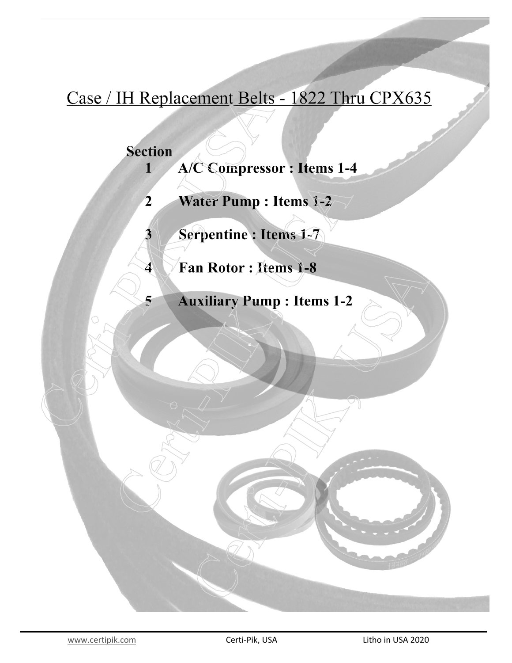## Case / IH Replacement Belts - 1822 Thru CPX635

## **Section**

 $\mathbf{3}$ 

 $\blacktriangleleft$ 

5

- A/C Compressor : Items 1-4  $\mathbf{1}$
- Water Pump: Items 1-2  $\overline{2}$ 
	- Serpentine : Items 1-7
	- Fan Rotor : Items 1-8
		- **Auxiliary Pump: Items 1-2**